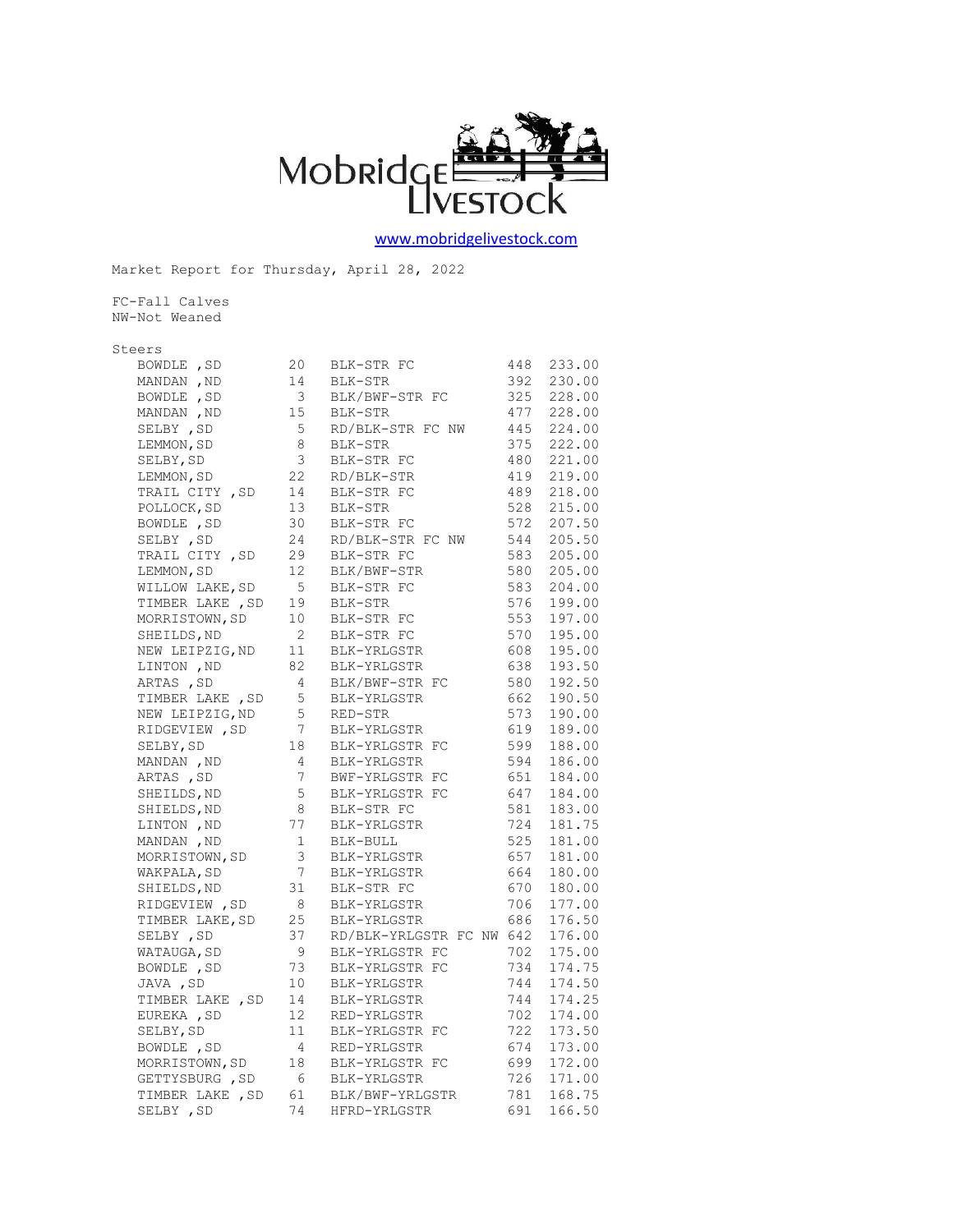

[www.mobridgelivestock.com](http://www.mobridgelivestock.com/)

Market Report for Thursday, April 28, 2022

FC-Fall Calves NW-Not Weaned

## Steers

| BOWDLE, SD       | 20                                      | BLK-STR FC                                        | 448 | 233.00     |
|------------------|-----------------------------------------|---------------------------------------------------|-----|------------|
| MANDAN, ND       | 14                                      | BLK-STR                                           | 392 | 230.00     |
| BOWDLE, SD       | $\overline{\mathbf{3}}$                 | BLK/BWF-STR FC                                    | 325 | 228.00     |
| MANDAN, ND       | 15                                      | BLK-STR                                           | 477 | 228.00     |
| SELBY, SD        | 5 <sub>5</sub>                          | RD/BLK-STR FC NW                                  | 445 | 224.00     |
| LEMMON, SD       | 8 <sup>1</sup>                          | BLK-STR                                           |     | 375 222.00 |
| SELBY, SD        |                                         | BLK-STR FC                                        | 480 | 221.00     |
| LEMMON, SD       |                                         | 3 BLK-STR FC<br>22 RD/BLK-STR                     |     | 419 219.00 |
| TRAIL CITY , SD  |                                         | BLK-STR FC                                        | 489 | 218.00     |
| POLLOCK, SD      | $\begin{array}{c} 14 \\ 13 \end{array}$ | BLK-STR                                           | 528 | 215.00     |
| BOWDLE, SD       | 30 <sub>2</sub>                         | BLK-STR FC                                        | 572 | 207.50     |
| SELBY , SD       | 24                                      | RD/BLK-STR FC NW                                  | 544 | 205.50     |
| TRAIL CITY, SD   | 29                                      | BLK-STR FC                                        | 583 | 205.00     |
| LEMMON, SD       | 12                                      | BLK/BWF-STR                                       | 580 | 205.00     |
| WILLOW LAKE, SD  | $5\overline{)}$                         | BLK-STR FC                                        | 583 | 204.00     |
| TIMBER LAKE , SD | 19                                      | BLK-STR                                           | 576 | 199.00     |
| MORRISTOWN, SD   | 10                                      | BLK-STR FC                                        | 553 | 197.00     |
| SHEILDS, ND      |                                         | BLK-STR FC                                        | 570 | 195.00     |
| NEW LEIPZIG, ND  |                                         | 2 BLK-511.<br>11 BLK-YRLGSTR<br>"PLGSTR           | 608 | 195.00     |
| LINTON , ND      |                                         | 82 BLK-YRLGSTR                                    | 638 | 193.50     |
| ARTAS , SD       | $\overline{4}$                          | BLK/BWF-STR FC                                    | 580 | 192.50     |
| TIMBER LAKE, SD  | 5 <sub>1</sub>                          | BLK-YRLGSTR                                       | 662 | 190.50     |
| NEW LEIPZIG, ND  | 5 <sub>5</sub>                          | RED-STR                                           | 573 | 190.00     |
| RIDGEVIEW, SD    | $7\overline{ }$                         | BLK-YRLGSTR                                       | 619 | 189.00     |
| SELBY, SD        |                                         | BLK-YRLGSTR FC                                    | 599 | 188.00     |
| MANDAN , ND      |                                         | 18 BLK-YRLGSTR<br>4 BLK-YRLGSTR<br>1111 CSTR FC   | 594 | 186.00     |
| ARTAS , SD       |                                         |                                                   | 651 | 184.00     |
| SHEILDS, ND      |                                         | 7 BWF-YRLGSTR FC<br>5 BLK-YRLGSTR FC              | 647 | 184.00     |
| SHIELDS, ND      |                                         |                                                   | 581 | 183.00     |
| LINTON , ND      |                                         | 8 BLK-STR FC<br>77 BLK-YRLGSTR                    | 724 | 181.75     |
| MANDAN, ND       |                                         | $1 \qquad \mathtt{BLK-BULL}$                      | 525 | 181.00     |
| MORRISTOWN, SD   |                                         | 3 BLK-YRLGSTR                                     | 657 | 181.00     |
| WAKPALA, SD      |                                         | 7 BLK-YRLGSTR                                     | 664 | 180.00     |
| SHIELDS, ND      |                                         |                                                   | 670 | 180.00     |
| RIDGEVIEW, SD    |                                         | 31 BLK-STR FC<br>8 BLK-YRLGSTR                    | 706 | 177.00     |
| TIMBER LAKE, SD  |                                         |                                                   | 686 | 176.50     |
| SELBY , SD       |                                         | 25 BLK-YRLGSTR 686<br>37 RD/BLK-YRLGSTR FC NW 642 |     | 176.00     |
| WATAUGA, SD      |                                         | 9 BLK-YRLGSTR FC                                  | 702 | 175.00     |
| BOWDLE , SD      | 73                                      | BLK-YRLGSTR FC                                    | 734 | 174.75     |
| JAVA , SD        | 10                                      | BLK-YRLGSTR                                       | 744 | 174.50     |
| TIMBER LAKE , SD | 14                                      | BLK-YRLGSTR                                       | 744 | 174.25     |
| EUREKA, SD       |                                         | 12 RED-YRLGSTR                                    | 702 | 174.00     |
| SELBY, SD        |                                         |                                                   | 722 | 173.50     |
| BOWDLE , SD      |                                         | 11 BLK-YRLGSTR FC<br>4 RED-YRLGSTR                | 674 | 173.00     |
| MORRISTOWN, SD   |                                         |                                                   | 699 | 172.00     |
| GETTYSBURG, SD   | 6                                       | 18 BLK-YRLGSTR FC<br>6 BLK-YRLGSTR                | 726 | 171.00     |
|                  |                                         | TIMBER LAKE, SD 61 BLK/BWF-YRLGSTR                |     | 781 168.75 |
| SELBY , SD       |                                         | 74 HFRD-YRLGSTR                                   | 691 | 166.50     |
|                  |                                         |                                                   |     |            |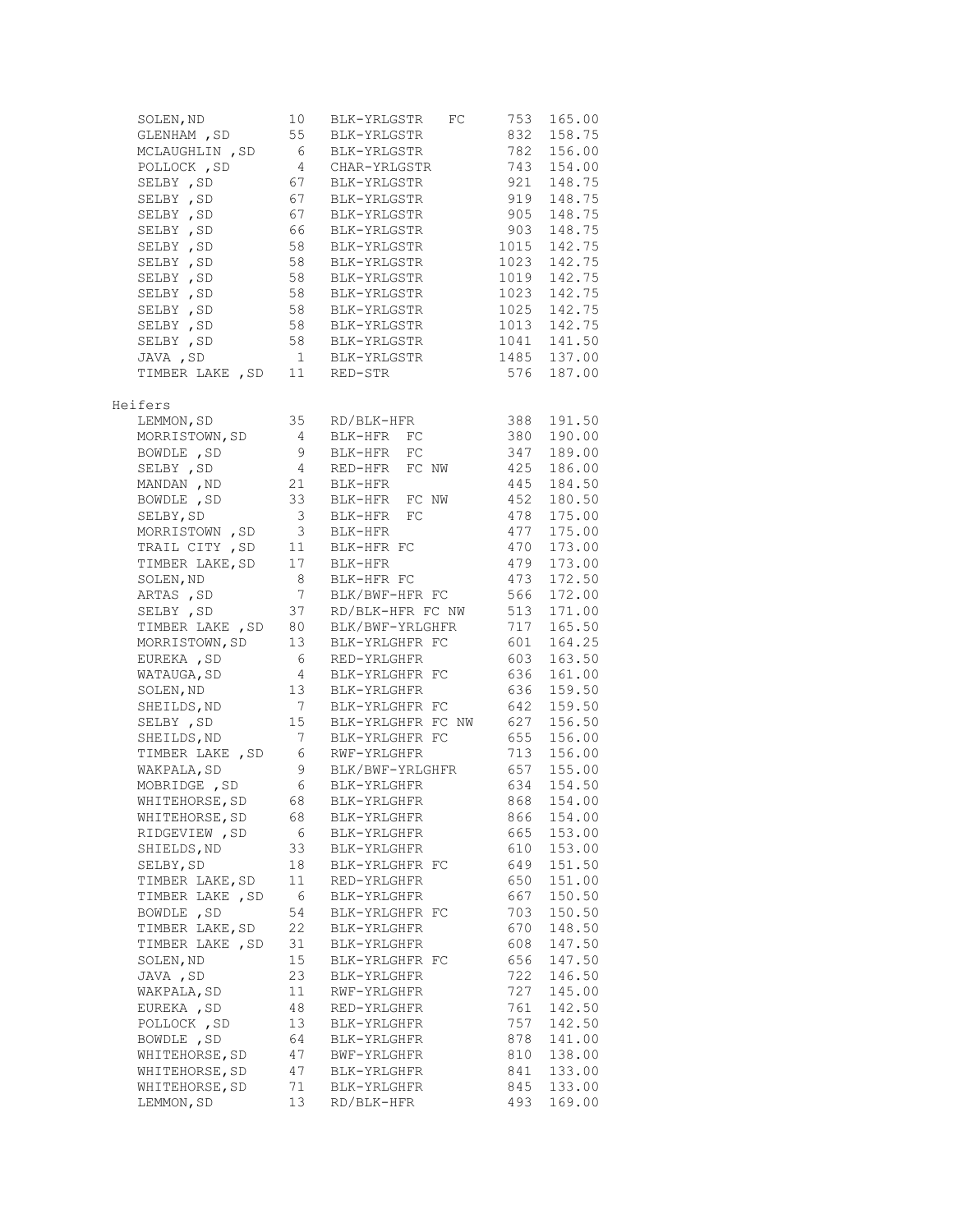| SOLEN, ND                       | 10                                        | BLK-YRLGSTR<br>FC | 753        | 165.00      |
|---------------------------------|-------------------------------------------|-------------------|------------|-------------|
| GLENHAM , SD                    | 55                                        | BLK-YRLGSTR       | 832        | 158.75      |
| MCLAUGHLIN , SD                 | - 6                                       | BLK-YRLGSTR       | 782        | 156.00      |
| POLLOCK, SD                     | 4                                         | CHAR-YRLGSTR      | 743        | 154.00      |
| SELBY , SD                      | 67                                        | BLK-YRLGSTR       | 921        | 148.75      |
| SELBY , SD                      | 67                                        | BLK-YRLGSTR       | 919        | 148.75      |
| SELBY , SD                      | 67                                        | BLK-YRLGSTR       | 905        | 148.75      |
| SELBY , SD                      | 66                                        | BLK-YRLGSTR       | 903        | 148.75      |
| SELBY , SD                      | 58                                        | BLK-YRLGSTR       | 1015       | 142.75      |
| SELBY , SD                      | 58                                        | BLK-YRLGSTR       | 1023       | 142.75      |
| SELBY , SD                      | 58                                        | BLK-YRLGSTR       | 1019       | 142.75      |
| SELBY , SD                      | 58                                        | BLK-YRLGSTR       | 1023       | 142.75      |
| SELBY , SD                      | $\begin{array}{c}\n56 \\ 58\n\end{array}$ | BLK-YRLGSTR       | 1025       | 142.75      |
| SELBY , SD                      |                                           | BLK-YRLGSTR       | 1013       | 142.75      |
| SELBY , SD                      | 58                                        | BLK-YRLGSTR       | 1041       | 141.50      |
| JAVA , SD                       |                                           | 1 BLK-YRLGSTR     |            | 1485 137.00 |
| TIMBER LAKE , SD                | 11                                        | RED-STR           | 576        | 187.00      |
| Heifers                         |                                           |                   |            |             |
| LEMMON, SD                      | 35                                        | RD/BLK-HFR        | 388        | 191.50      |
| MORRISTOWN, SD                  | $\overline{4}$                            | FC<br>BLK-HFR     | 380        | 190.00      |
| BOWDLE, SD                      | 9                                         | FC<br>BLK-HFR     | 347        | 189.00      |
| SELBY , SD                      | $\overline{4}$                            | FC NW<br>RED-HFR  | 425        | 186.00      |
| MANDAN, ND                      | 21                                        | BLK-HFR           | 445        | 184.50      |
| BOWDLE, SD                      | 33                                        | BLK-HFR<br>FC NW  | 452        | 180.50      |
| SELBY, SD                       | 3                                         | FC<br>BLK-HFR     | 478        | 175.00      |
| MORRISTOWN , SD                 | 3                                         | BLK-HFR           | 477        | 175.00      |
| TRAIL CITY , SD                 | 11                                        | BLK-HFR FC        | 470        | 173.00      |
| TIMBER LAKE, SD                 | 17                                        | BLK-HFR           | 479        | 173.00      |
| SOLEN, ND                       | 8                                         | BLK-HFR FC        | 473        | 172.50      |
| ARTAS, SD                       | $7\phantom{.0}$                           | BLK/BWF-HFR FC    | 566        | 172.00      |
| SELBY , SD                      | 37                                        | RD/BLK-HFR FC NW  | 513        | 171.00      |
| TIMBER LAKE , SD                | 80                                        | BLK/BWF-YRLGHFR   | 717        | 165.50      |
| MORRISTOWN, SD                  | 13                                        | BLK-YRLGHFR FC    | 601        | 164.25      |
| EUREKA, SD                      | 6                                         | RED-YRLGHFR       | 603        | 163.50      |
| WATAUGA, SD                     | $\overline{4}$                            | BLK-YRLGHFR FC    | 636        | 161.00      |
| SOLEN, ND                       | 13                                        | BLK-YRLGHFR       | 636        | 159.50      |
| SHEILDS, ND                     | $7\overline{ }$                           | BLK-YRLGHFR FC    | 642        | 159.50      |
| SELBY , SD                      | 15                                        | BLK-YRLGHFR FC NW | 627        | 156.50      |
| SHEILDS, ND                     | $7\overline{ }$                           | BLK-YRLGHFR FC    | 655        | 156.00      |
| TIMBER LAKE, SD                 | 6                                         | RWF-YRLGHFR       | 713        | 156.00      |
| WAKPALA, SD                     | 9                                         | BLK/BWF-YRLGHFR   | 657        | 155.00      |
| MOBRIDGE , SD                   | 6                                         | BLK-YRLGHFR       | 634        | 154.50      |
| WHITEHORSE, SD                  | 68                                        | BLK-YRLGHFR       | 868        | 154.00      |
|                                 |                                           | BLK-YRLGHFR       |            | 154.00      |
| WHITEHORSE, SD<br>RIDGEVIEW, SD | 68<br>6                                   | BLK-YRLGHFR       | 866<br>665 | 153.00      |
| SHIELDS, ND                     |                                           | BLK-YRLGHFR       |            | 153.00      |
|                                 | 33                                        |                   | 610        |             |
| SELBY, SD                       | 18                                        | BLK-YRLGHFR FC    | 649        | 151.50      |
| TIMBER LAKE, SD                 | 11                                        | RED-YRLGHFR       | 650        | 151.00      |
| TIMBER LAKE , SD                | 6                                         | BLK-YRLGHFR       | 667        | 150.50      |
| BOWDLE, SD                      | 54                                        | BLK-YRLGHFR FC    | 703        | 150.50      |
| TIMBER LAKE, SD                 | 22                                        | BLK-YRLGHFR       | 670        | 148.50      |
| TIMBER LAKE, SD                 | 31                                        | BLK-YRLGHFR       | 608        | 147.50      |
| SOLEN, ND                       | 15                                        | BLK-YRLGHFR FC    | 656        | 147.50      |
| JAVA , SD                       | 23                                        | BLK-YRLGHFR       | 722        | 146.50      |
| WAKPALA, SD                     | 11                                        | RWF-YRLGHFR       | 727        | 145.00      |
| EUREKA, SD                      | 48                                        | RED-YRLGHFR       | 761        | 142.50      |
| POLLOCK, SD                     | 13                                        | BLK-YRLGHFR       | 757        | 142.50      |
| BOWDLE, SD                      | 64                                        | BLK-YRLGHFR       | 878        | 141.00      |
| WHITEHORSE, SD                  | 47                                        | BWF-YRLGHFR       | 810        | 138.00      |
| WHITEHORSE, SD                  | 47                                        | BLK-YRLGHFR       | 841        | 133.00      |
| WHITEHORSE, SD                  | 71                                        | BLK-YRLGHFR       | 845        | 133.00      |
| LEMMON, SD                      | 13                                        | RD/BLK-HFR        | 493        | 169.00      |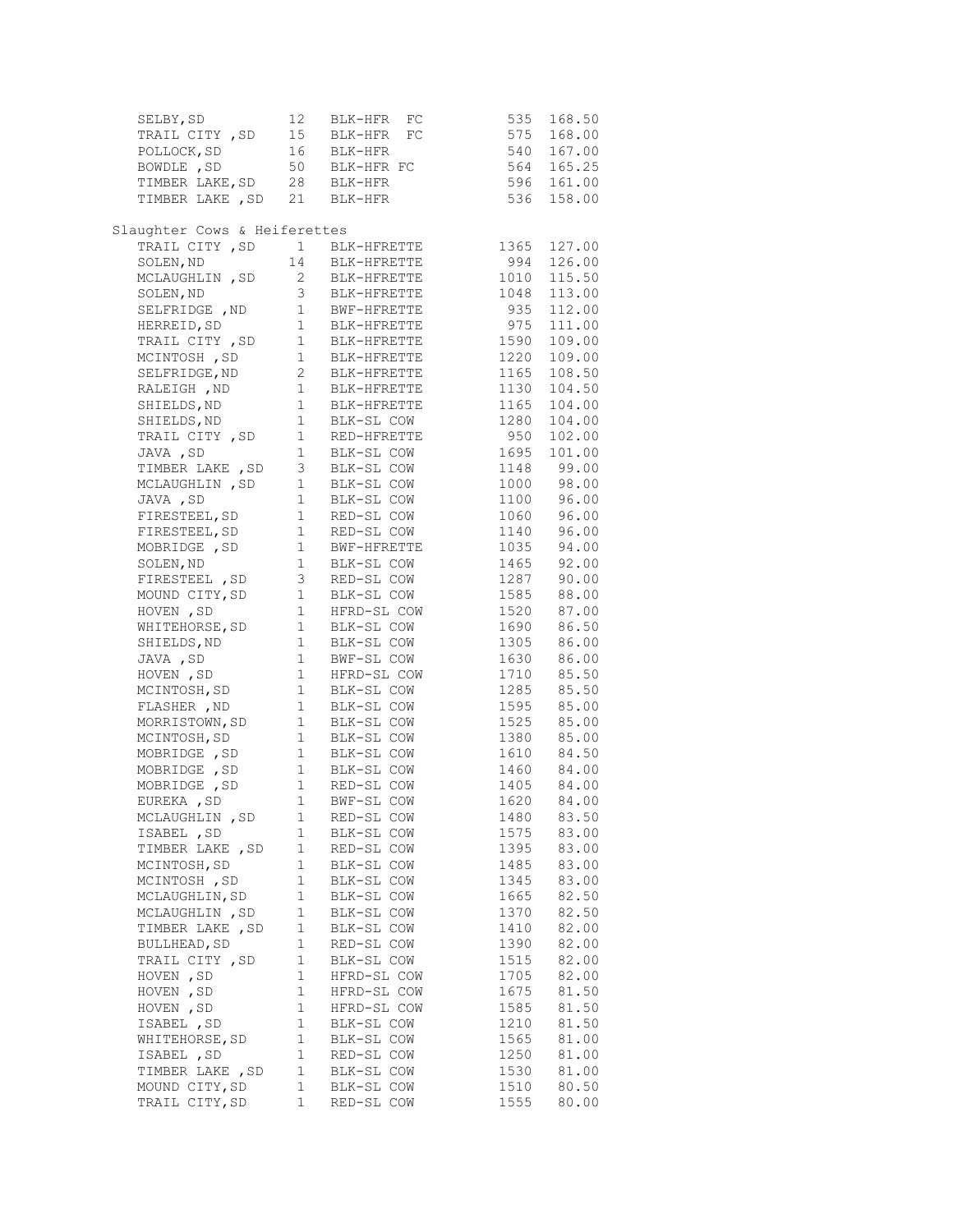| SELBY, SD                                                                                                                                                                                                                                      | 12           | BLK-HFR FC                                         | 535          | 168.50                   |
|------------------------------------------------------------------------------------------------------------------------------------------------------------------------------------------------------------------------------------------------|--------------|----------------------------------------------------|--------------|--------------------------|
| TRAIL CITY , SD                                                                                                                                                                                                                                | 15           | BLK-HFR FC                                         | 575          | 168.00                   |
| POLLOCK, SD                                                                                                                                                                                                                                    |              | 16 BLK-HFR                                         | 540          | 167.00                   |
| BOWDLE , SD                                                                                                                                                                                                                                    |              |                                                    |              | 564 165.25               |
| BOWDLE, SD 50 BLK-HFR FC<br>TIMBER LAKE, SD 28 BLK-HFR                                                                                                                                                                                         |              |                                                    |              | 596 161.00               |
| TIMBER LAKE, SD 21 BLK-HFR                                                                                                                                                                                                                     |              |                                                    | 536          | 158.00                   |
|                                                                                                                                                                                                                                                |              |                                                    |              |                          |
| Slaughter Cows & Heiferettes                                                                                                                                                                                                                   |              |                                                    |              |                          |
| TRAIL CITY, SD 1 BLK-HFRETTE                                                                                                                                                                                                                   |              |                                                    | 1365         | 127.00                   |
| SOLEN, ND                                                                                                                                                                                                                                      |              | 14 BLK-HFRETTE                                     | 994          | 126.00                   |
| MCLAUGHLIN, SD                                                                                                                                                                                                                                 |              |                                                    | 1010         | 115.50                   |
| SOLEN, ND                                                                                                                                                                                                                                      |              | 2         BLK-HFRETTE<br>3          BLK-HFRETTE    | 1048         | 113.00                   |
| SELFRIDGE , ND 1 BWF-HFRETTE                                                                                                                                                                                                                   |              |                                                    | 935          | 112.00                   |
| HERREID, SD                                                                                                                                                                                                                                    |              |                                                    | 975          | 111.00                   |
| TRAIL CITY , SD                                                                                                                                                                                                                                |              | 1 BLK-HFRETTE<br>3D 1 BLK-HFRETTE<br>1 BLK-HFRETTE | 1590         | 109.00                   |
| MCINTOSH, SD                                                                                                                                                                                                                                   |              |                                                    | 1220         | 109.00                   |
|                                                                                                                                                                                                                                                |              |                                                    | 1165         | 108.50                   |
| SELFRIDGE, ND<br>RALEIGH , ND<br>SHIELDS, ND<br>1 BLK-HFRETTE<br>SHIELDS, ND<br>1 BLK-HFRETTE<br>SHIELDS, ND<br>1 BLK-SL COW<br>1 BLK-SL COW                                                                                                   |              |                                                    | 1130         | 104.50                   |
|                                                                                                                                                                                                                                                |              |                                                    | 1165         | 104.00                   |
|                                                                                                                                                                                                                                                |              |                                                    | 1280         | 104.00                   |
| TRAIL CITY, SD                                                                                                                                                                                                                                 |              |                                                    | 950          | 102.00                   |
| JAVA , SD                                                                                                                                                                                                                                      |              | 1 RED-HFRETTE<br>1 BLK-SL COW                      | 1695         | 101.00                   |
| TIMBER LAKE, SD 3 BLK-SL COW                                                                                                                                                                                                                   |              |                                                    |              | 1148 99.00               |
|                                                                                                                                                                                                                                                |              |                                                    |              |                          |
|                                                                                                                                                                                                                                                |              |                                                    |              | 1000 98.00<br>1100 96.00 |
|                                                                                                                                                                                                                                                |              |                                                    | 1060         | 96.00                    |
|                                                                                                                                                                                                                                                |              |                                                    |              | 1140 96.00               |
|                                                                                                                                                                                                                                                |              |                                                    | 1035         | 94.00                    |
| MCLAUGHLIN, SD 1 BLK-SL COW<br>JAVA, SD 1 BLK-SL COW<br>FIRESTEEL, SD 1 RED-SL COW<br>FIRESTEEL, SD 1 RED-SL COW<br>MOBRIDGE, SD 1 BWF-HFRETTE<br>SOLEN, ND 1 BLK-SL COW                                                                       |              |                                                    |              | 1465 92.00               |
| FIRESTEEL, SD 3 RED-SL COW                                                                                                                                                                                                                     |              |                                                    | 1287         | 90.00                    |
|                                                                                                                                                                                                                                                |              |                                                    |              | 88.00                    |
| MOUND CITY, SD 1 BLK-SL COW<br>HOVEN, SD 1 HFRD-SL COW                                                                                                                                                                                         |              |                                                    | 1585<br>1520 | 87.00                    |
| WHITEHORSE, SD 1 BLK-SL COW                                                                                                                                                                                                                    |              |                                                    | 1690         | 86.50                    |
|                                                                                                                                                                                                                                                |              |                                                    |              | 86.00                    |
| WHILENORSE, SD 1 BLK-SL COW<br>MOVEN , SD 1 BLK-SL COW<br>HOVEN , SD 1 BFR-SL COW<br>MCINTOSH, SD 1 HFRD-SL COW<br>MCINTOSH, SD 1 BLK-SL COW<br>FLASHER , ND 1 BLK-SL COW<br>MORRISTOWN, SD 1 BLK-SL COW<br>MOBRIDGE , SD 1 BLK-SL COW<br>MOBR |              |                                                    | 1305<br>1630 | 86.00                    |
|                                                                                                                                                                                                                                                |              |                                                    | 1710         | 85.50                    |
|                                                                                                                                                                                                                                                |              |                                                    | 1285         | 85.50                    |
|                                                                                                                                                                                                                                                |              |                                                    | 1595         | 85.00                    |
|                                                                                                                                                                                                                                                |              |                                                    | 1525         | 85.00                    |
|                                                                                                                                                                                                                                                |              |                                                    | 1380         | 85.00                    |
|                                                                                                                                                                                                                                                |              |                                                    |              | 84.50                    |
|                                                                                                                                                                                                                                                |              |                                                    | 1610<br>1460 | 84.00                    |
|                                                                                                                                                                                                                                                |              |                                                    | 1405         | 84.00                    |
| EUREKA, SD                                                                                                                                                                                                                                     | $\mathbf{1}$ | BWF-SL COW                                         | 1620         | 84.00                    |
| MCLAUGHLIN, SD                                                                                                                                                                                                                                 | 1            | RED-SL COW                                         | 1480         | 83.50                    |
| ISABEL, SD                                                                                                                                                                                                                                     | 1            | BLK-SL COW                                         | 1575         | 83.00                    |
| TIMBER LAKE, SD                                                                                                                                                                                                                                | 1            | RED-SL COW                                         | 1395         | 83.00                    |
| MCINTOSH, SD                                                                                                                                                                                                                                   | 1            | BLK-SL COW                                         | 1485         | 83.00                    |
| MCINTOSH, SD                                                                                                                                                                                                                                   | 1            | BLK-SL COW                                         | 1345         | 83.00                    |
| MCLAUGHLIN, SD                                                                                                                                                                                                                                 | 1            | BLK-SL COW                                         | 1665         | 82.50                    |
| MCLAUGHLIN, SD                                                                                                                                                                                                                                 | $1\,$        | BLK-SL COW                                         | 1370         | 82.50                    |
| TIMBER LAKE , SD                                                                                                                                                                                                                               | 1            | BLK-SL COW                                         | 1410         | 82.00                    |
| BULLHEAD, SD                                                                                                                                                                                                                                   | 1            | RED-SL COW                                         | 1390         | 82.00                    |
| TRAIL CITY, SD                                                                                                                                                                                                                                 | 1            | BLK-SL COW                                         | 1515         | 82.00                    |
| HOVEN, SD                                                                                                                                                                                                                                      | 1            | HFRD-SL COW                                        | 1705         | 82.00                    |
| HOVEN , SD                                                                                                                                                                                                                                     | 1            | HFRD-SL COW                                        | 1675         | 81.50                    |
| HOVEN, SD                                                                                                                                                                                                                                      | 1            | HFRD-SL COW                                        | 1585         | 81.50                    |
| ISABEL, SD                                                                                                                                                                                                                                     | 1            | BLK-SL COW                                         | 1210         | 81.50                    |
| WHITEHORSE, SD                                                                                                                                                                                                                                 | 1            | BLK-SL COW                                         | 1565         | 81.00                    |
| ISABEL, SD                                                                                                                                                                                                                                     | 1            | RED-SL COW                                         | 1250         | 81.00                    |
| TIMBER LAKE , SD                                                                                                                                                                                                                               | $1\,$        | BLK-SL COW                                         | 1530         | 81.00                    |
| MOUND CITY, SD                                                                                                                                                                                                                                 | $1\,$        | BLK-SL COW                                         | 1510         | 80.50                    |
| TRAIL CITY, SD                                                                                                                                                                                                                                 | 1            | RED-SL COW                                         | 1555         | 80.00                    |